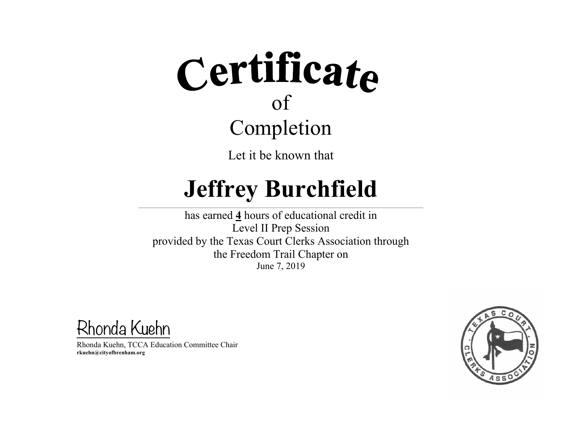Let it be known that

## **Jeffrey Burchfield**

 $\mathcal{L} = \{ \mathcal{L} = \{ \mathcal{L} = \{ \mathcal{L} = \{ \mathcal{L} = \{ \mathcal{L} = \{ \mathcal{L} = \{ \mathcal{L} = \{ \mathcal{L} = \{ \mathcal{L} = \{ \mathcal{L} = \{ \mathcal{L} = \{ \mathcal{L} = \{ \mathcal{L} = \{ \mathcal{L} = \{ \mathcal{L} = \{ \mathcal{L} = \{ \mathcal{L} = \{ \mathcal{L} = \{ \mathcal{L} = \{ \mathcal{L} = \{ \mathcal{L} = \{ \mathcal{L} = \{ \mathcal{L} = \{ \mathcal{$ 

has earned **4** hours of educational credit in Level II Prep Session provided by the Texas Court Clerks Association through the Freedom Trail Chapter on June 7, 2019

Rhonda Kuehn

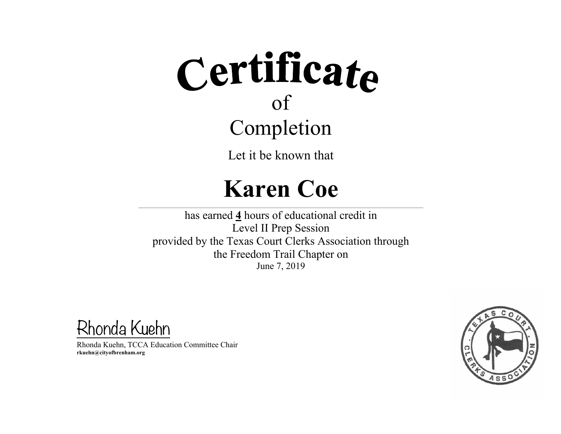Let it be known that

#### **Karen Coe**

 $\mathcal{L} = \{ \mathcal{L} = \{ \mathcal{L} = \{ \mathcal{L} = \{ \mathcal{L} = \{ \mathcal{L} = \{ \mathcal{L} = \{ \mathcal{L} = \{ \mathcal{L} = \{ \mathcal{L} = \{ \mathcal{L} = \{ \mathcal{L} = \{ \mathcal{L} = \{ \mathcal{L} = \{ \mathcal{L} = \{ \mathcal{L} = \{ \mathcal{L} = \{ \mathcal{L} = \{ \mathcal{L} = \{ \mathcal{L} = \{ \mathcal{L} = \{ \mathcal{L} = \{ \mathcal{L} = \{ \mathcal{L} = \{ \mathcal{$ 

has earned **4** hours of educational credit in Level II Prep Session provided by the Texas Court Clerks Association through the Freedom Trail Chapter on June 7, 2019

Rhonda Kuehn

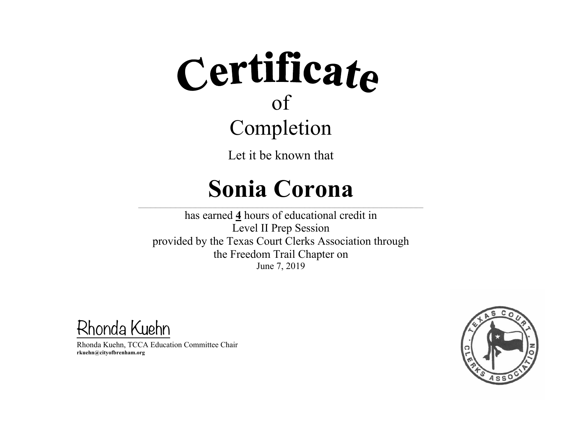Let it be known that

### **Sonia Corona**

 $\mathcal{L} = \{ \mathcal{L} = \{ \mathcal{L} = \{ \mathcal{L} = \{ \mathcal{L} = \{ \mathcal{L} = \{ \mathcal{L} = \{ \mathcal{L} = \{ \mathcal{L} = \{ \mathcal{L} = \{ \mathcal{L} = \{ \mathcal{L} = \{ \mathcal{L} = \{ \mathcal{L} = \{ \mathcal{L} = \{ \mathcal{L} = \{ \mathcal{L} = \{ \mathcal{L} = \{ \mathcal{L} = \{ \mathcal{L} = \{ \mathcal{L} = \{ \mathcal{L} = \{ \mathcal{L} = \{ \mathcal{L} = \{ \mathcal{$ 

has earned **4** hours of educational credit in Level II Prep Session provided by the Texas Court Clerks Association through the Freedom Trail Chapter on June 7, 2019

Rhonda Kuehn

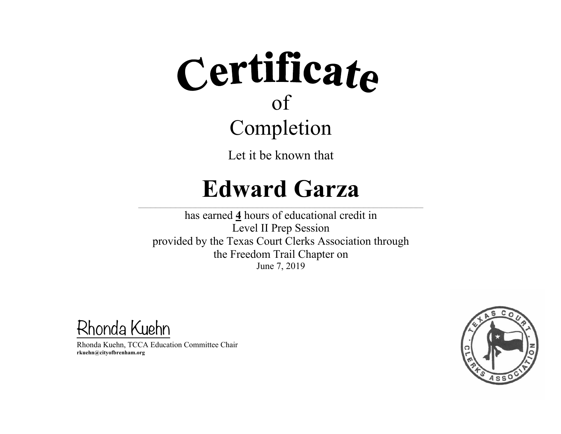Let it be known that

#### **Edward Garza**

 $\mathcal{L} = \{ \mathcal{L} = \{ \mathcal{L} = \{ \mathcal{L} = \{ \mathcal{L} = \{ \mathcal{L} = \{ \mathcal{L} = \{ \mathcal{L} = \{ \mathcal{L} = \{ \mathcal{L} = \{ \mathcal{L} = \{ \mathcal{L} = \{ \mathcal{L} = \{ \mathcal{L} = \{ \mathcal{L} = \{ \mathcal{L} = \{ \mathcal{L} = \{ \mathcal{L} = \{ \mathcal{L} = \{ \mathcal{L} = \{ \mathcal{L} = \{ \mathcal{L} = \{ \mathcal{L} = \{ \mathcal{L} = \{ \mathcal{$ 

has earned **4** hours of educational credit in Level II Prep Session provided by the Texas Court Clerks Association through the Freedom Trail Chapter on June 7, 2019

Rhonda Kuehn

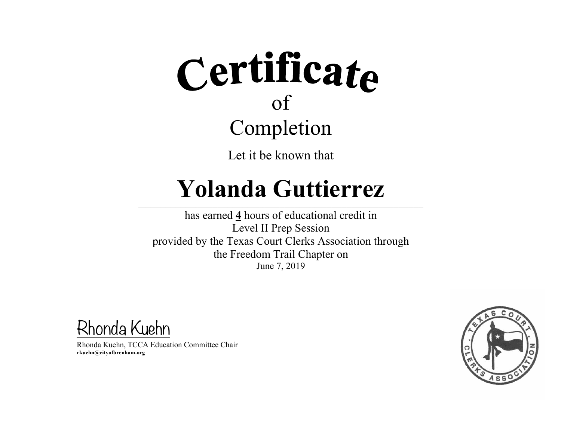

Let it be known that

#### **Yolanda Guttierrez**

 $\mathcal{L} = \{ \mathcal{L} = \{ \mathcal{L} = \{ \mathcal{L} = \{ \mathcal{L} = \{ \mathcal{L} = \{ \mathcal{L} = \{ \mathcal{L} = \{ \mathcal{L} = \{ \mathcal{L} = \{ \mathcal{L} = \{ \mathcal{L} = \{ \mathcal{L} = \{ \mathcal{L} = \{ \mathcal{L} = \{ \mathcal{L} = \{ \mathcal{L} = \{ \mathcal{L} = \{ \mathcal{L} = \{ \mathcal{L} = \{ \mathcal{L} = \{ \mathcal{L} = \{ \mathcal{L} = \{ \mathcal{L} = \{ \mathcal{$ 

has earned **4** hours of educational credit in Level II Prep Session provided by the Texas Court Clerks Association through the Freedom Trail Chapter on June 7, 2019

Rhonda Kuehn

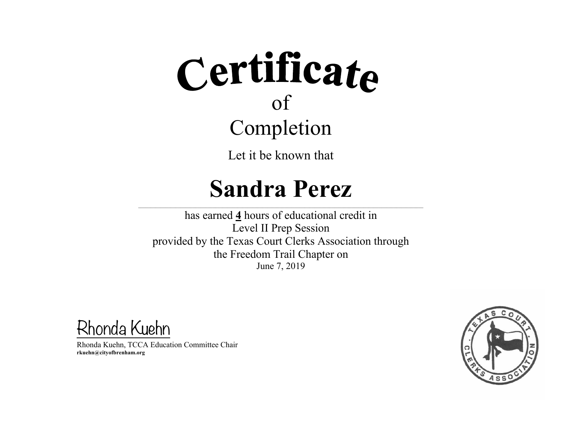Let it be known that

#### **Sandra Perez**

 $\mathcal{L} = \{ \mathcal{L} = \{ \mathcal{L} = \{ \mathcal{L} = \{ \mathcal{L} = \{ \mathcal{L} = \{ \mathcal{L} = \{ \mathcal{L} = \{ \mathcal{L} = \{ \mathcal{L} = \{ \mathcal{L} = \{ \mathcal{L} = \{ \mathcal{L} = \{ \mathcal{L} = \{ \mathcal{L} = \{ \mathcal{L} = \{ \mathcal{L} = \{ \mathcal{L} = \{ \mathcal{L} = \{ \mathcal{L} = \{ \mathcal{L} = \{ \mathcal{L} = \{ \mathcal{L} = \{ \mathcal{L} = \{ \mathcal{$ 

has earned **4** hours of educational credit in Level II Prep Session provided by the Texas Court Clerks Association through the Freedom Trail Chapter on June 7, 2019

Rhonda Kuehn

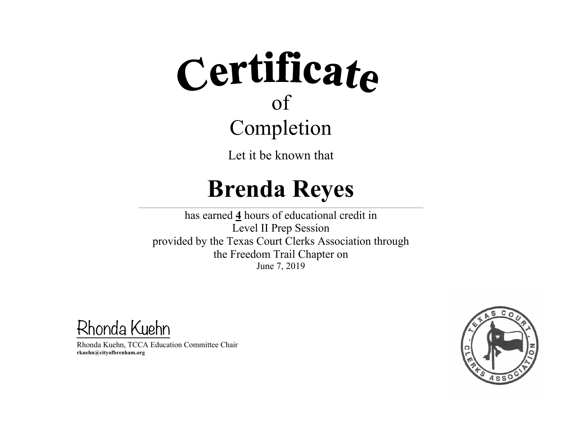Let it be known that

#### **Brenda Reyes**

 $\mathcal{L} = \{ \mathcal{L} = \{ \mathcal{L} = \{ \mathcal{L} = \{ \mathcal{L} = \{ \mathcal{L} = \{ \mathcal{L} = \{ \mathcal{L} = \{ \mathcal{L} = \{ \mathcal{L} = \{ \mathcal{L} = \{ \mathcal{L} = \{ \mathcal{L} = \{ \mathcal{L} = \{ \mathcal{L} = \{ \mathcal{L} = \{ \mathcal{L} = \{ \mathcal{L} = \{ \mathcal{L} = \{ \mathcal{L} = \{ \mathcal{L} = \{ \mathcal{L} = \{ \mathcal{L} = \{ \mathcal{L} = \{ \mathcal{$ 

has earned **4** hours of educational credit in Level II Prep Session provided by the Texas Court Clerks Association through the Freedom Trail Chapter on June 7, 2019

Rhonda Kuehn

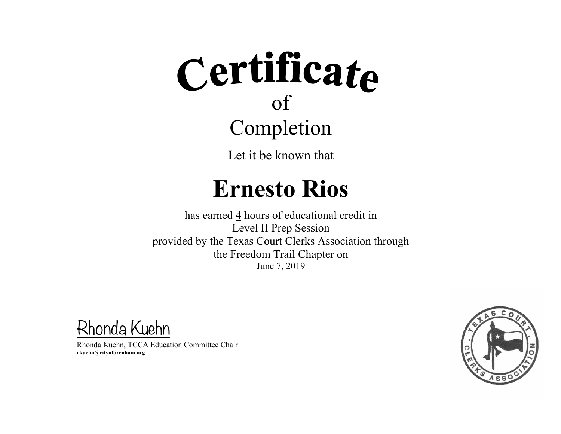Let it be known that

#### **Ernesto Rios**

 $\mathcal{L} = \{ \mathcal{L} = \{ \mathcal{L} = \{ \mathcal{L} = \{ \mathcal{L} = \{ \mathcal{L} = \{ \mathcal{L} = \{ \mathcal{L} = \{ \mathcal{L} = \{ \mathcal{L} = \{ \mathcal{L} = \{ \mathcal{L} = \{ \mathcal{L} = \{ \mathcal{L} = \{ \mathcal{L} = \{ \mathcal{L} = \{ \mathcal{L} = \{ \mathcal{L} = \{ \mathcal{L} = \{ \mathcal{L} = \{ \mathcal{L} = \{ \mathcal{L} = \{ \mathcal{L} = \{ \mathcal{L} = \{ \mathcal{$ 

has earned **4** hours of educational credit in Level II Prep Session provided by the Texas Court Clerks Association through the Freedom Trail Chapter on June 7, 2019

Rhonda Kuehn